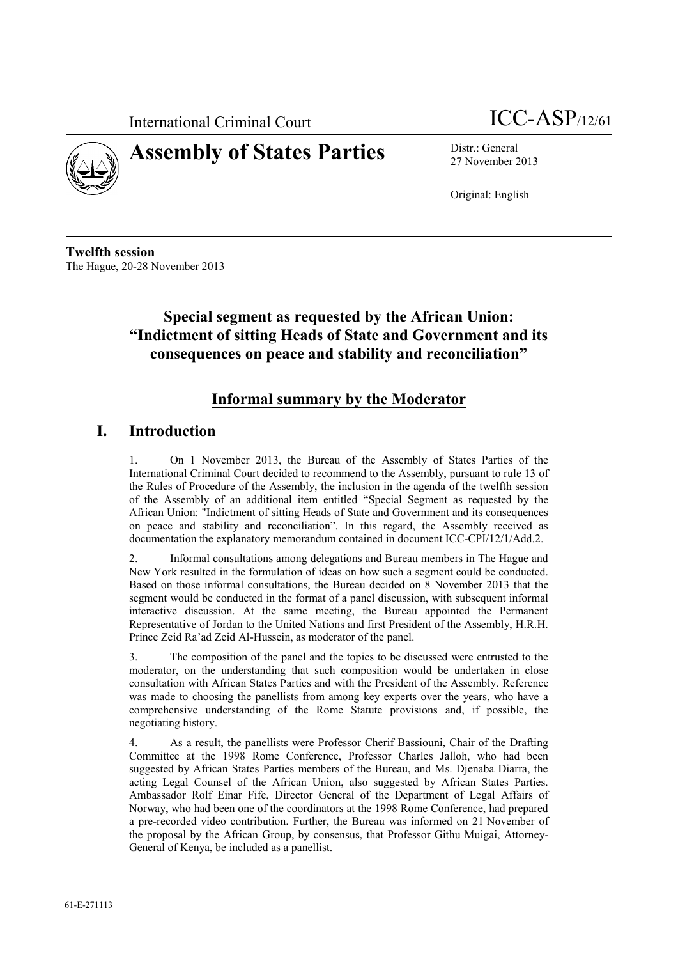



# **Assembly of States Parties** Distr.: General

27 November 2013

Original: English

**Twelfth session** The Hague, 20-28 November 2013

# **Special segment as requested by the African Union: "Indictment of sitting Heads of State and Government and its consequences on peace and stability and reconciliation"**

## **Informal summary by the Moderator**

#### **I. Introduction**

1. On 1 November 2013, the Bureau of the Assembly of States Parties of the International Criminal Court decided to recommend to the Assembly, pursuant to rule 13 of the Rules of Procedure of the Assembly, the inclusion in the agenda of the twelfth session of the Assembly of an additional item entitled "Special Segment as requested by the African Union: "Indictment of sitting Heads of State and Government and its consequences on peace and stability and reconciliation". In this regard, the Assembly received as documentation the explanatory memorandum contained in document ICC-CPI/12/1/Add.2.

2. Informal consultations among delegations and Bureau members in The Hague and New York resulted in the formulation of ideas on how such a segment could be conducted. Based on those informal consultations, the Bureau decided on 8 November 2013 that the segment would be conducted in the format of a panel discussion, with subsequent informal interactive discussion. At the same meeting, the Bureau appointed the Permanent Representative of Jordan to the United Nations and first President of the Assembly, H.R.H. Prince Zeid Ra'ad Zeid Al-Hussein, as moderator of the panel.

3. The composition of the panel and the topics to be discussed were entrusted to the moderator, on the understanding that such composition would be undertaken in close consultation with African States Parties and with the President of the Assembly. Reference was made to choosing the panellists from among key experts over the years, who have a comprehensive understanding of the Rome Statute provisions and, if possible, the negotiating history.

4. As a result, the panellists were Professor Cherif Bassiouni, Chair of the Drafting Committee at the 1998 Rome Conference, Professor Charles Jalloh, who had been suggested by African States Parties members of the Bureau, and Ms. Djenaba Diarra, the acting Legal Counsel of the African Union, also suggested by African States Parties. Ambassador Rolf Einar Fife, Director General of the Department of Legal Affairs of Norway, who had been one of the coordinators at the 1998 Rome Conference, had prepared a pre-recorded video contribution. Further, the Bureau was informed on 21 November of the proposal by the African Group, by consensus, that Professor Githu Muigai, Attorney- General of Kenya, be included as a panellist.